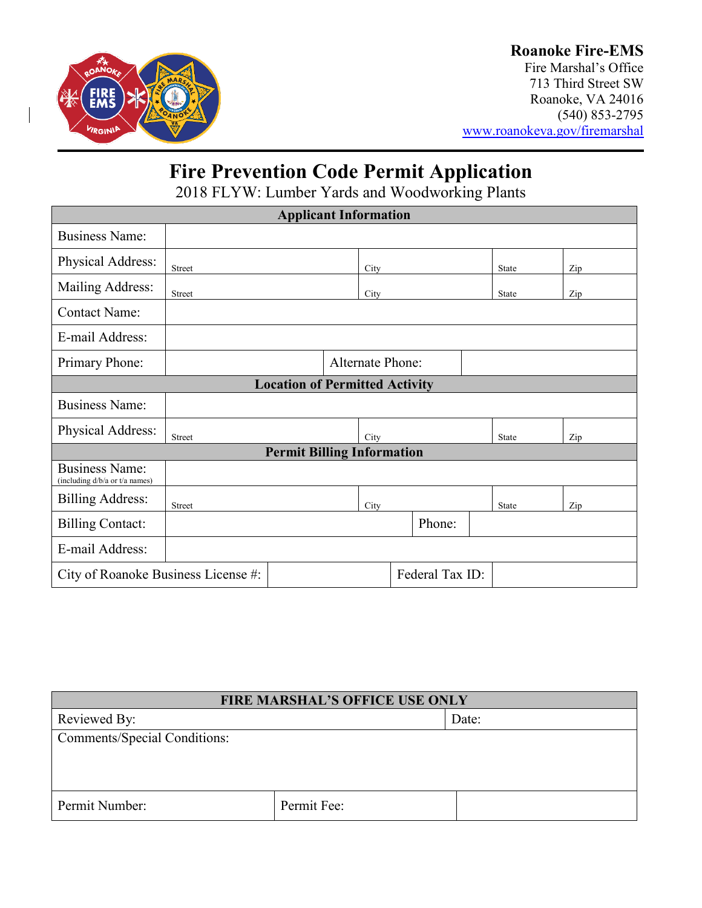

## **Roanoke Fire-EMS**

Fire Marshal's Office 713 Third Street SW Roanoke, VA 24016 (540) 853-2795 [www.roanokeva.gov/firemarshal](http://www.roanokeva.gov/firemarshal)

# **Fire Prevention Code Permit Application**

2018 FLYW: Lumber Yards and Woodworking Plants

| <b>Applicant Information</b>                            |                         |  |      |  |        |              |     |
|---------------------------------------------------------|-------------------------|--|------|--|--------|--------------|-----|
| <b>Business Name:</b>                                   |                         |  |      |  |        |              |     |
| Physical Address:                                       | <b>Street</b>           |  | City |  |        | <b>State</b> | Zip |
| Mailing Address:                                        | <b>Street</b>           |  | City |  |        | <b>State</b> | Zip |
| <b>Contact Name:</b>                                    |                         |  |      |  |        |              |     |
| E-mail Address:                                         |                         |  |      |  |        |              |     |
| Primary Phone:                                          | <b>Alternate Phone:</b> |  |      |  |        |              |     |
| <b>Location of Permitted Activity</b>                   |                         |  |      |  |        |              |     |
| <b>Business Name:</b>                                   |                         |  |      |  |        |              |     |
| Physical Address:                                       | Street                  |  | City |  |        | State        | Zip |
| <b>Permit Billing Information</b>                       |                         |  |      |  |        |              |     |
| <b>Business Name:</b><br>(including d/b/a or t/a names) |                         |  |      |  |        |              |     |
| <b>Billing Address:</b>                                 | <b>Street</b>           |  | City |  |        | State        | Zip |
| <b>Billing Contact:</b>                                 |                         |  |      |  | Phone: |              |     |
| E-mail Address:                                         |                         |  |      |  |        |              |     |
| Federal Tax ID:<br>City of Roanoke Business License #:  |                         |  |      |  |        |              |     |

| <b>FIRE MARSHAL'S OFFICE USE ONLY</b> |             |       |  |  |
|---------------------------------------|-------------|-------|--|--|
| Reviewed By:                          |             | Date: |  |  |
| <b>Comments/Special Conditions:</b>   |             |       |  |  |
|                                       |             |       |  |  |
|                                       |             |       |  |  |
| Permit Number:                        | Permit Fee: |       |  |  |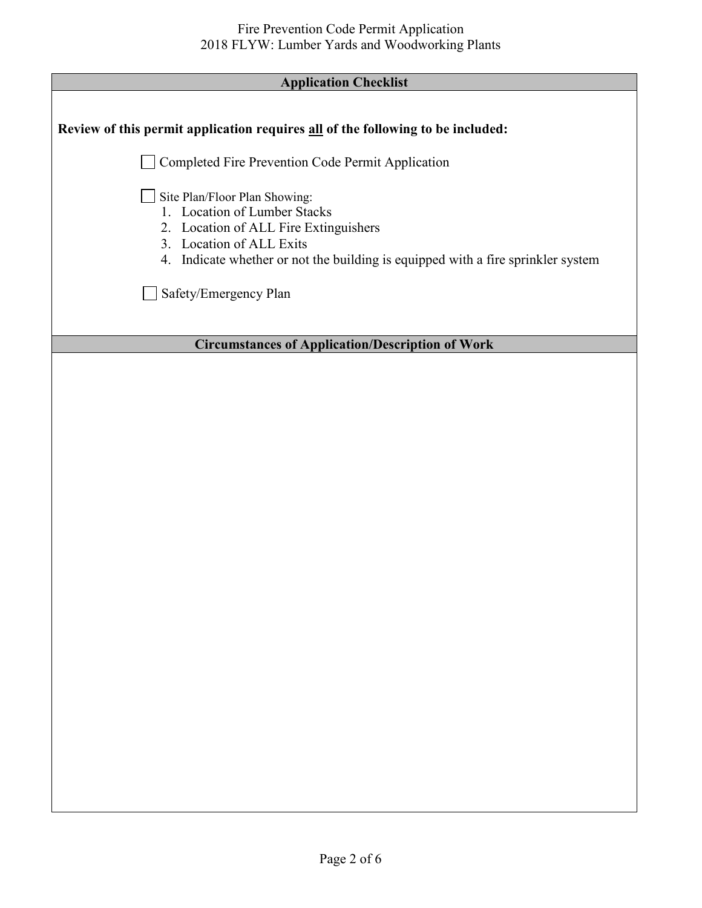| <b>Application Checklist</b> |
|------------------------------|
|------------------------------|

Π

Г

| Application Unecklist                                                                                                                                                                                                  |
|------------------------------------------------------------------------------------------------------------------------------------------------------------------------------------------------------------------------|
| Review of this permit application requires all of the following to be included:                                                                                                                                        |
| Completed Fire Prevention Code Permit Application                                                                                                                                                                      |
| Site Plan/Floor Plan Showing:<br>1. Location of Lumber Stacks<br>2. Location of ALL Fire Extinguishers<br>3. Location of ALL Exits<br>4. Indicate whether or not the building is equipped with a fire sprinkler system |
| Safety/Emergency Plan                                                                                                                                                                                                  |
| <b>Circumstances of Application/Description of Work</b>                                                                                                                                                                |
|                                                                                                                                                                                                                        |
|                                                                                                                                                                                                                        |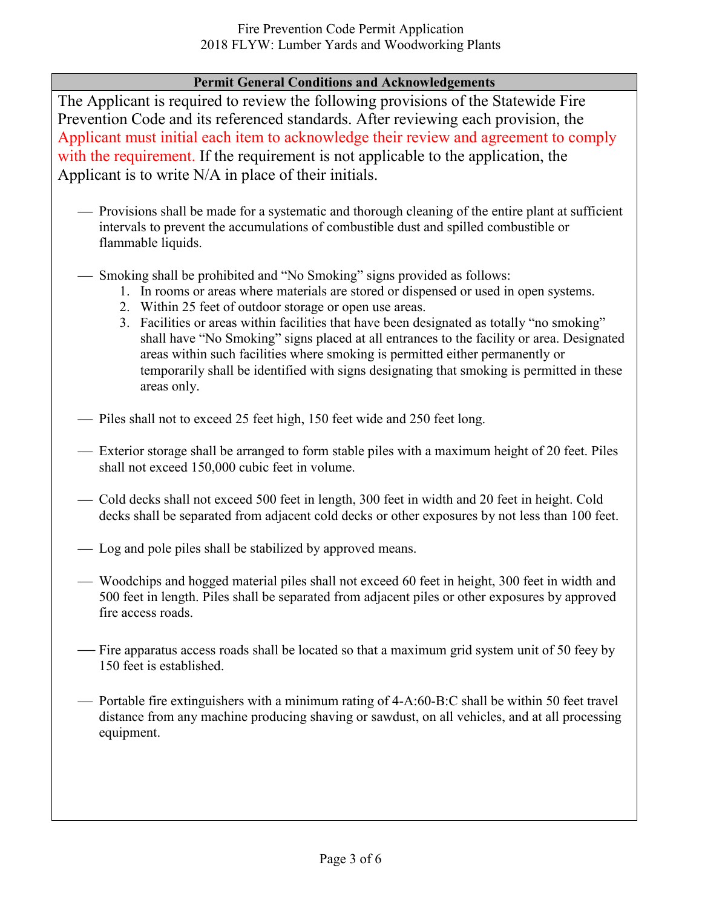### **Permit General Conditions and Acknowledgements**

The Applicant is required to review the following provisions of the Statewide Fire Prevention Code and its referenced standards. After reviewing each provision, the Applicant must initial each item to acknowledge their review and agreement to comply with the requirement. If the requirement is not applicable to the application, the Applicant is to write N/A in place of their initials.

- Provisions shall be made for a systematic and thorough cleaning of the entire plant at sufficient intervals to prevent the accumulations of combustible dust and spilled combustible or flammable liquids.
- Smoking shall be prohibited and "No Smoking" signs provided as follows:
	- 1. In rooms or areas where materials are stored or dispensed or used in open systems.
	- 2. Within 25 feet of outdoor storage or open use areas.
	- 3. Facilities or areas within facilities that have been designated as totally "no smoking" shall have "No Smoking" signs placed at all entrances to the facility or area. Designated areas within such facilities where smoking is permitted either permanently or temporarily shall be identified with signs designating that smoking is permitted in these areas only.
- Piles shall not to exceed 25 feet high, 150 feet wide and 250 feet long.
- Exterior storage shall be arranged to form stable piles with a maximum height of 20 feet. Piles shall not exceed 150,000 cubic feet in volume.
- Cold decks shall not exceed 500 feet in length, 300 feet in width and 20 feet in height. Cold decks shall be separated from adjacent cold decks or other exposures by not less than 100 feet.
- Log and pole piles shall be stabilized by approved means.
- Woodchips and hogged material piles shall not exceed 60 feet in height, 300 feet in width and 500 feet in length. Piles shall be separated from adjacent piles or other exposures by approved fire access roads.
- Fire apparatus access roads shall be located so that a maximum grid system unit of 50 feey by 150 feet is established.
- Portable fire extinguishers with a minimum rating of  $4-A:60-B:C$  shall be within 50 feet travel distance from any machine producing shaving or sawdust, on all vehicles, and at all processing equipment.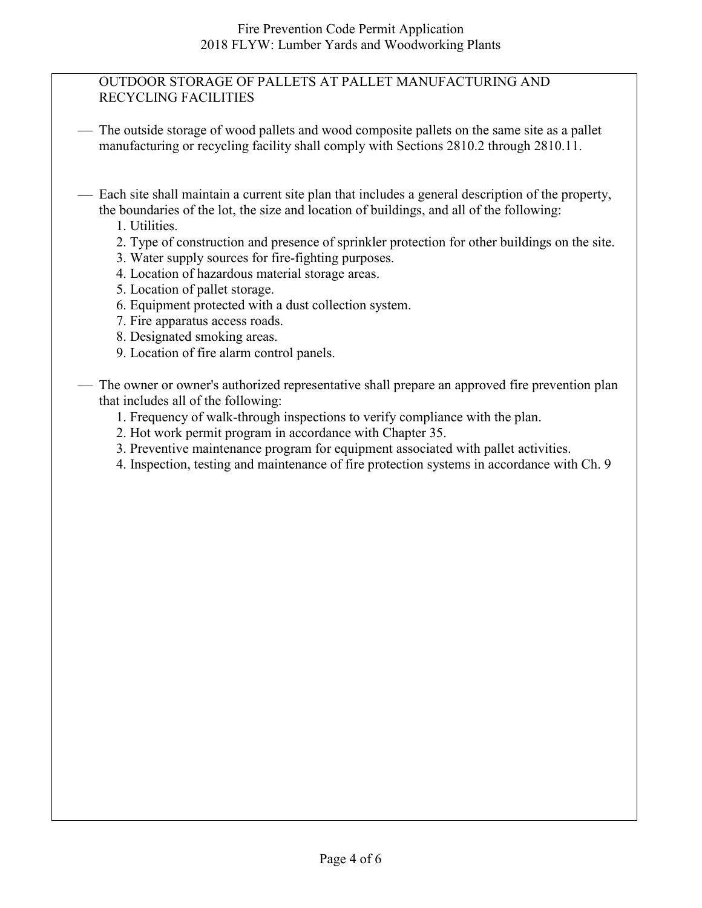#### OUTDOOR STORAGE OF PALLETS AT PALLET MANUFACTURING AND RECYCLING FACILITIES

- The outside storage of wood pallets and wood composite pallets on the same site as a pallet manufacturing or recycling facility shall comply with Sections 2810.2 through 2810.11.
- Each site shall maintain a current site plan that includes a general description of the property, the boundaries of the lot, the size and location of buildings, and all of the following:
	- 1. Utilities.
	- 2. Type of construction and presence of sprinkler protection for other buildings on the site.
	- 3. Water supply sources for fire-fighting purposes.
	- 4. Location of hazardous material storage areas.
	- 5. Location of pallet storage.
	- 6. Equipment protected with a dust collection system.
	- 7. Fire apparatus access roads.
	- 8. Designated smoking areas.
	- 9. Location of fire alarm control panels.

 The owner or owner's authorized representative shall prepare an approved fire prevention plan that includes all of the following:

- 1. Frequency of walk-through inspections to verify compliance with the plan.
- 2. Hot work permit program in accordance with Chapter 35.
- 3. Preventive maintenance program for equipment associated with pallet activities.
- 4. Inspection, testing and maintenance of fire protection systems in accordance with Ch. 9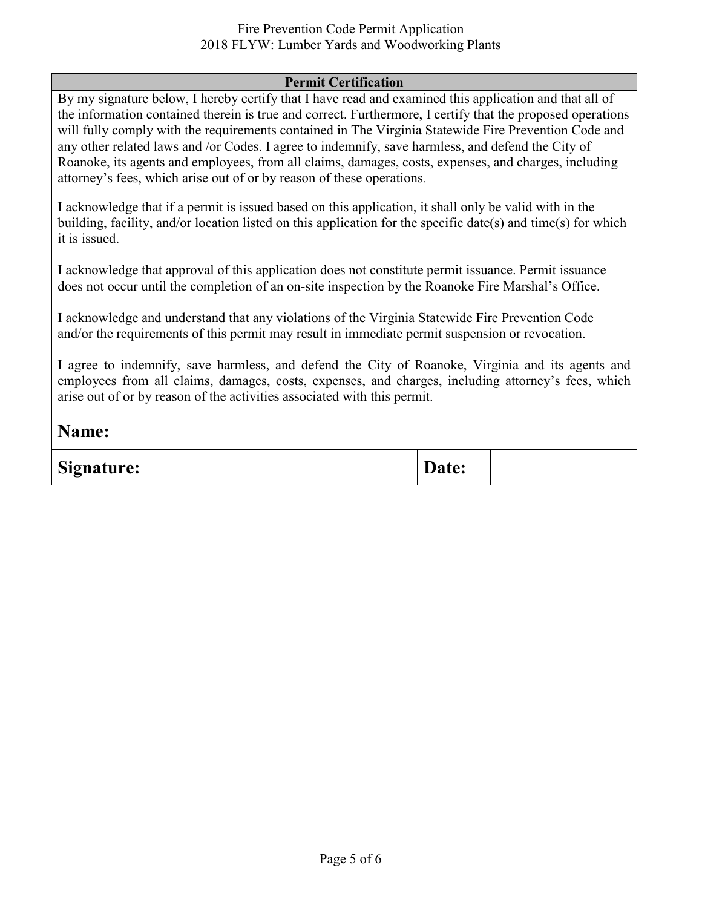#### Fire Prevention Code Permit Application 2018 FLYW: Lumber Yards and Woodworking Plants

#### **Permit Certification**

By my signature below, I hereby certify that I have read and examined this application and that all of the information contained therein is true and correct. Furthermore, I certify that the proposed operations will fully comply with the requirements contained in The Virginia Statewide Fire Prevention Code and any other related laws and /or Codes. I agree to indemnify, save harmless, and defend the City of Roanoke, its agents and employees, from all claims, damages, costs, expenses, and charges, including attorney's fees, which arise out of or by reason of these operations.

I acknowledge that if a permit is issued based on this application, it shall only be valid with in the building, facility, and/or location listed on this application for the specific date(s) and time(s) for which it is issued.

I acknowledge that approval of this application does not constitute permit issuance. Permit issuance does not occur until the completion of an on-site inspection by the Roanoke Fire Marshal's Office.

I acknowledge and understand that any violations of the Virginia Statewide Fire Prevention Code and/or the requirements of this permit may result in immediate permit suspension or revocation.

I agree to indemnify, save harmless, and defend the City of Roanoke, Virginia and its agents and employees from all claims, damages, costs, expenses, and charges, including attorney's fees, which arise out of or by reason of the activities associated with this permit.

| Name:             |       |  |
|-------------------|-------|--|
| <b>Signature:</b> | Date: |  |